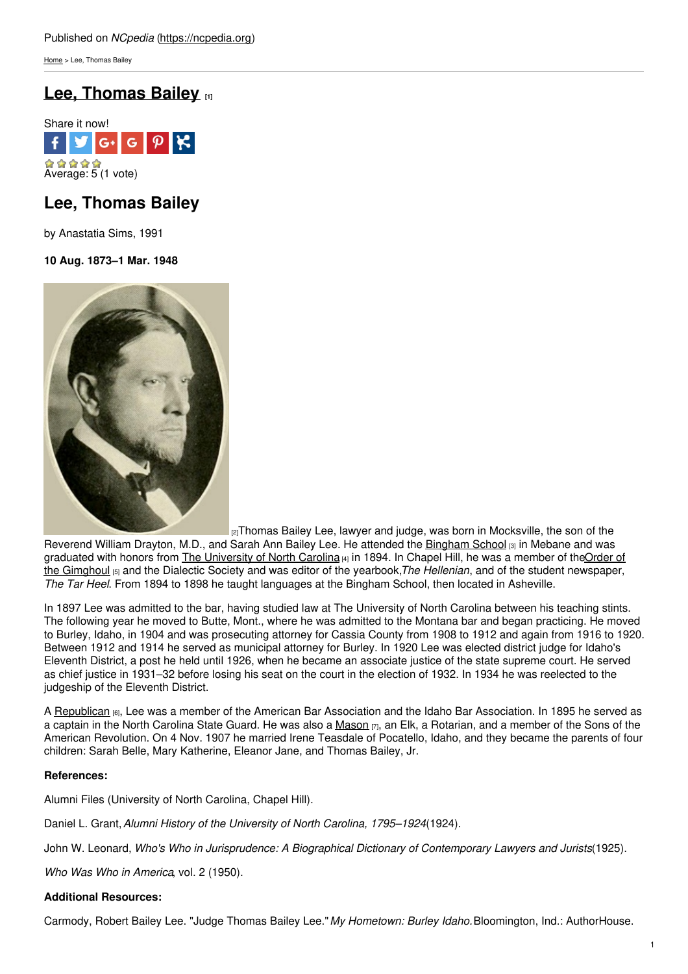[Home](https://ncpedia.org/) > Lee, Thomas Bailey

# **Lee, [Thomas](https://ncpedia.org/biography/lee-thomas-bailey) Bailey [1]**



# **Lee, Thomas Bailey**

by Anastatia Sims, 1991

**10 Aug. 1873–1 Mar. 1948**



[2] Thomas Bailey Lee, lawyer and judge, was born in Mocksville, the son of the Reverend William Drayton, M.D., and Sarah Ann Bailey Lee. He attended the [Bingham](https://ncpedia.org/bingham-school) School [3] in Mebane and was graduated with honors from The [University](https://ncpedia.org/university-north-carolina-chapel-hi) of North Carolina [4] in 1894. In Chapel Hill, he was a member of theOrder of the Gimghoul [5] and the Dialectic Society and was editor of the yearbook,*The Hellenian*, and of the student [newspaper,](https://ncpedia.org/gimghoul-castle) *The Tar Heel*. From 1894 to 1898 he taught languages at the Bingham School, then located in Asheville.

In 1897 Lee was admitted to the bar, having studied law at The University of North Carolina between his teaching stints. The following year he moved to Butte, Mont., where he was admitted to the Montana bar and began practicing. He moved to Burley, Idaho, in 1904 and was prosecuting attorney for Cassia County from 1908 to 1912 and again from 1916 to 1920. Between 1912 and 1914 he served as municipal attorney for Burley. In 1920 Lee was elected district judge for Idaho's Eleventh District, a post he held until 1926, when he became an associate justice of the state supreme court. He served as chief justice in 1931–32 before losing his seat on the court in the election of 1932. In 1934 he was reelected to the judgeship of the Eleventh District.

A [Republican](https://ncpedia.org/republican-party) [6], Lee was a member of the American Bar Association and the Idaho Bar Association. In 1895 he served as a captain in the North Carolina State Guard. He was also a [Mason](https://ncpedia.org/freemasons) [7], an Elk, a Rotarian, and a member of the Sons of the American Revolution. On 4 Nov. 1907 he married Irene Teasdale of Pocatello, Idaho, and they became the parents of four children: Sarah Belle, Mary Katherine, Eleanor Jane, and Thomas Bailey, Jr.

## **References:**

Alumni Files (University of North Carolina, Chapel Hill).

Daniel L. Grant,*Alumni History of the University of North Carolina, 1795–1924*(1924).

John W. Leonard, *Who's Who in Jurisprudence: A Biographical Dictionary of Contemporary Lawyers and Jurists*(1925).

*Who Was Who in America*, vol. 2 (1950).

# **Additional Resources:**

Carmody, Robert Bailey Lee. "Judge Thomas Bailey Lee."*My Hometown: Burley Idaho.*Bloomington, Ind.: AuthorHouse.